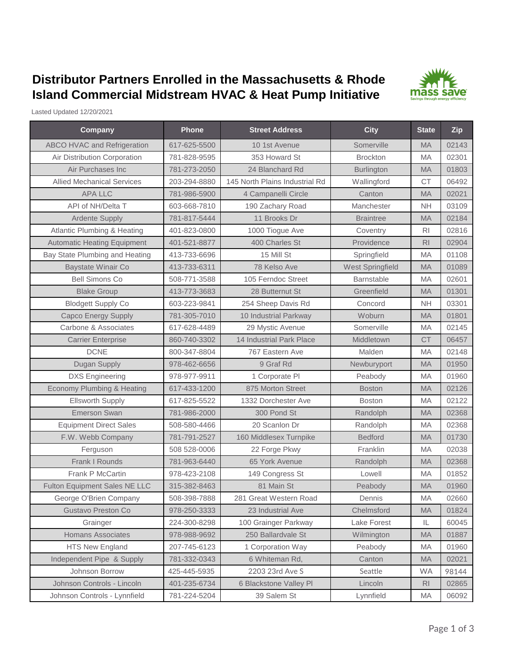## **Distributor Partners Enrolled in the Massachusetts & Rhode Island Commercial Midstream HVAC & Heat Pump Initiative**



Lasted Updated 12/20/2021

| Company                              | Phone        | <b>Street Address</b>          | <b>City</b>       | <b>State</b>   | Zip   |
|--------------------------------------|--------------|--------------------------------|-------------------|----------------|-------|
| <b>ABCO HVAC and Refrigeration</b>   | 617-625-5500 | 10 1st Avenue                  | Somerville        | <b>MA</b>      | 02143 |
| Air Distribution Corporation         | 781-828-9595 | 353 Howard St                  | <b>Brockton</b>   | <b>MA</b>      | 02301 |
| Air Purchases Inc                    | 781-273-2050 | 24 Blanchard Rd                | <b>Burlington</b> | <b>MA</b>      | 01803 |
| <b>Allied Mechanical Services</b>    | 203-294-8880 | 145 North Plains Industrial Rd | Wallingford       | <b>CT</b>      | 06492 |
| <b>APA LLC</b>                       | 781-986-5900 | 4 Campanelli Circle            | Canton            | MA             | 02021 |
| API of NH/Delta T                    | 603-668-7810 | 190 Zachary Road               | Manchester        | <b>NH</b>      | 03109 |
| <b>Ardente Supply</b>                | 781-817-5444 | 11 Brooks Dr                   | <b>Braintree</b>  | <b>MA</b>      | 02184 |
| Atlantic Plumbing & Heating          | 401-823-0800 | 1000 Tiogue Ave                | Coventry          | R <sub>l</sub> | 02816 |
| <b>Automatic Heating Equipment</b>   | 401-521-8877 | 400 Charles St                 | Providence        | R <sub>l</sub> | 02904 |
| Bay State Plumbing and Heating       | 413-733-6696 | 15 Mill St                     | Springfield       | MA             | 01108 |
| Baystate Winair Co                   | 413-733-6311 | 78 Kelso Ave                   | West Springfield  | <b>MA</b>      | 01089 |
| <b>Bell Simons Co</b>                | 508-771-3588 | 105 Ferndoc Street             | Barnstable        | MA             | 02601 |
| <b>Blake Group</b>                   | 413-773-3683 | 28 Butternut St                | Greenfield        | <b>MA</b>      | 01301 |
| <b>Blodgett Supply Co</b>            | 603-223-9841 | 254 Sheep Davis Rd             | Concord           | <b>NH</b>      | 03301 |
| <b>Capco Energy Supply</b>           | 781-305-7010 | 10 Industrial Parkway          | Woburn            | <b>MA</b>      | 01801 |
| Carbone & Associates                 | 617-628-4489 | 29 Mystic Avenue               | Somerville        | MA             | 02145 |
| <b>Carrier Enterprise</b>            | 860-740-3302 | 14 Industrial Park Place       | Middletown        | <b>CT</b>      | 06457 |
| <b>DCNE</b>                          | 800-347-8804 | 767 Eastern Ave                | Malden            | МA             | 02148 |
| Dugan Supply                         | 978-462-6656 | 9 Graf Rd                      | Newburyport       | <b>MA</b>      | 01950 |
| <b>DXS</b> Engineering               | 978-977-9911 | 1 Corporate PI                 | Peabody           | MA             | 01960 |
| Economy Plumbing & Heating           | 617-433-1200 | 875 Morton Street              | <b>Boston</b>     | <b>MA</b>      | 02126 |
| <b>Ellsworth Supply</b>              | 617-825-5522 | 1332 Dorchester Ave            | <b>Boston</b>     | <b>MA</b>      | 02122 |
| <b>Emerson Swan</b>                  | 781-986-2000 | 300 Pond St                    | Randolph          | <b>MA</b>      | 02368 |
| <b>Equipment Direct Sales</b>        | 508-580-4466 | 20 Scanlon Dr                  | Randolph          | <b>MA</b>      | 02368 |
| F.W. Webb Company                    | 781-791-2527 | 160 Middlesex Turnpike         | <b>Bedford</b>    | <b>MA</b>      | 01730 |
| Ferguson                             | 508 528-0006 | 22 Forge Pkwy                  | Franklin          | MA             | 02038 |
| Frank I Rounds                       | 781-963-6440 | 65 York Avenue                 | Randolph          | <b>MA</b>      | 02368 |
| Frank P McCartin                     | 978-423-2108 | 149 Congress St                | Lowell            | <b>MA</b>      | 01852 |
| <b>Fulton Equipment Sales NE LLC</b> | 315-382-8463 | 81 Main St                     | Peabody           | <b>MA</b>      | 01960 |
| George O'Brien Company               | 508-398-7888 | 281 Great Western Road         | Dennis            | MA             | 02660 |
| <b>Gustavo Preston Co</b>            | 978-250-3333 | 23 Industrial Ave              | Chelmsford        | <b>MA</b>      | 01824 |
| Grainger                             | 224-300-8298 | 100 Grainger Parkway           | Lake Forest       | IL             | 60045 |
| <b>Homans Associates</b>             | 978-988-9692 | 250 Ballardvale St             | Wilmington        | <b>MA</b>      | 01887 |
| <b>HTS New England</b>               | 207-745-6123 | 1 Corporation Way              | Peabody           | MA             | 01960 |
| Independent Pipe & Supply            | 781-332-0343 | 6 Whiteman Rd,                 | Canton            | MA             | 02021 |
| Johnson Borrow                       | 425-445-5935 | 2203 23rd Ave S                | Seattle           | <b>WA</b>      | 98144 |
| Johnson Controls - Lincoln           | 401-235-6734 | 6 Blackstone Valley Pl         | Lincoln           | R <sub>l</sub> | 02865 |
| Johnson Controls - Lynnfield         | 781-224-5204 | 39 Salem St                    | Lynnfield         | MA             | 06092 |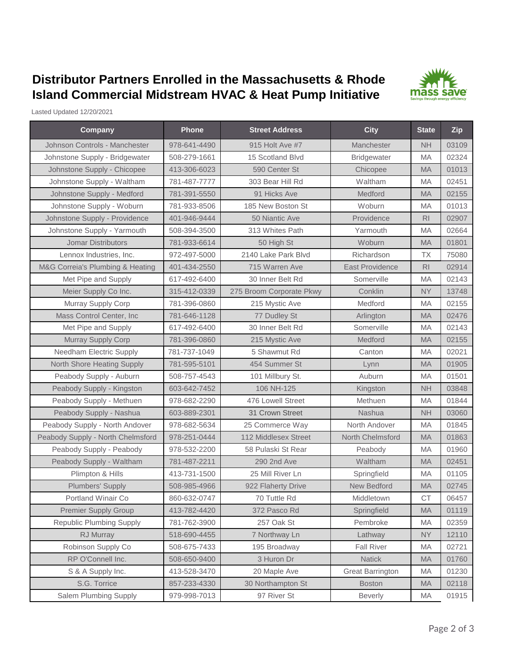## **Distributor Partners Enrolled in the Massachusetts & Rhode Island Commercial Midstream HVAC & Heat Pump Initiative**



Lasted Updated 12/20/2021

| Company                           | <b>Phone</b> | <b>Street Address</b>    | <b>City</b>             | <b>State</b>   | Zip   |
|-----------------------------------|--------------|--------------------------|-------------------------|----------------|-------|
| Johnson Controls - Manchester     | 978-641-4490 | 915 Holt Ave #7          | Manchester              | <b>NH</b>      | 03109 |
| Johnstone Supply - Bridgewater    | 508-279-1661 | 15 Scotland Blvd         | <b>Bridgewater</b>      | <b>MA</b>      | 02324 |
| Johnstone Supply - Chicopee       | 413-306-6023 | 590 Center St            | Chicopee                | <b>MA</b>      | 01013 |
| Johnstone Supply - Waltham        | 781-487-7777 | 303 Bear Hill Rd         | Waltham                 | MA             | 02451 |
| Johnstone Supply - Medford        | 781-391-5550 | 91 Hicks Ave             | Medford                 | <b>MA</b>      | 02155 |
| Johnstone Supply - Woburn         | 781-933-8506 | 185 New Boston St        | Woburn                  | MA             | 01013 |
| Johnstone Supply - Providence     | 401-946-9444 | 50 Niantic Ave           | Providence              | R <sub>l</sub> | 02907 |
| Johnstone Supply - Yarmouth       | 508-394-3500 | 313 Whites Path          | Yarmouth                | <b>MA</b>      | 02664 |
| <b>Jomar Distributors</b>         | 781-933-6614 | 50 High St               | Woburn                  | <b>MA</b>      | 01801 |
| Lennox Industries, Inc.           | 972-497-5000 | 2140 Lake Park Blvd      | Richardson              | <b>TX</b>      | 75080 |
| M&G Correia's Plumbing & Heating  | 401-434-2550 | 715 Warren Ave           | <b>East Providence</b>  | R <sub>l</sub> | 02914 |
| Met Pipe and Supply               | 617-492-6400 | 30 Inner Belt Rd         | Somerville              | <b>MA</b>      | 02143 |
| Meier Supply Co Inc.              | 315-412-0339 | 275 Broom Corporate Pkwy | Conklin                 | <b>NY</b>      | 13748 |
| Murray Supply Corp                | 781-396-0860 | 215 Mystic Ave           | Medford                 | <b>MA</b>      | 02155 |
| Mass Control Center, Inc.         | 781-646-1128 | 77 Dudley St             | Arlington               | <b>MA</b>      | 02476 |
| Met Pipe and Supply               | 617-492-6400 | 30 Inner Belt Rd         | Somerville              | MA             | 02143 |
| Murray Supply Corp                | 781-396-0860 | 215 Mystic Ave           | Medford                 | <b>MA</b>      | 02155 |
| <b>Needham Electric Supply</b>    | 781-737-1049 | 5 Shawmut Rd             | Canton                  | MA             | 02021 |
| North Shore Heating Supply        | 781-595-5101 | 454 Summer St            | Lynn                    | <b>MA</b>      | 01905 |
| Peabody Supply - Auburn           | 508-757-4543 | 101 Millbury St.         | Auburn                  | <b>MA</b>      | 01501 |
| Peabody Supply - Kingston         | 603-642-7452 | 106 NH-125               | Kingston                | <b>NH</b>      | 03848 |
| Peabody Supply - Methuen          | 978-682-2290 | 476 Lowell Street        | Methuen                 | MA             | 01844 |
| Peabody Supply - Nashua           | 603-889-2301 | 31 Crown Street          | <b>Nashua</b>           | <b>NH</b>      | 03060 |
| Peabody Supply - North Andover    | 978-682-5634 | 25 Commerce Way          | North Andover           | <b>MA</b>      | 01845 |
| Peabody Supply - North Chelmsford | 978-251-0444 | 112 Middlesex Street     | North Chelmsford        | <b>MA</b>      | 01863 |
| Peabody Supply - Peabody          | 978-532-2200 | 58 Pulaski St Rear       | Peabody                 | MA             | 01960 |
| Peabody Supply - Waltham          | 781-487-2211 | 290 2nd Ave              | Waltham                 | <b>MA</b>      | 02451 |
| Plimpton & Hills                  | 413-731-1500 | 25 Mill River Ln         | Springfield             | MA             | 01105 |
| <b>Plumbers' Supply</b>           | 508-985-4966 | 922 Flaherty Drive       | New Bedford             | <b>MA</b>      | 02745 |
| Portland Winair Co                | 860-632-0747 | 70 Tuttle Rd             | Middletown              | <b>CT</b>      | 06457 |
| <b>Premier Supply Group</b>       | 413-782-4420 | 372 Pasco Rd             | Springfield             | <b>MA</b>      | 01119 |
| <b>Republic Plumbing Supply</b>   | 781-762-3900 | 257 Oak St               | Pembroke                | MA             | 02359 |
| RJ Murray                         | 518-690-4455 | 7 Northway Ln            | Lathway                 | <b>NY</b>      | 12110 |
| Robinson Supply Co                | 508-675-7433 | 195 Broadway             | <b>Fall River</b>       | MA             | 02721 |
| RP O'Connell Inc.                 | 508-650-9400 | 3 Huron Dr               | <b>Natick</b>           | <b>MA</b>      | 01760 |
| S & A Supply Inc.                 | 413-528-3470 | 20 Maple Ave             | <b>Great Barrington</b> | MA             | 01230 |
| S.G. Torrice                      | 857-233-4330 | 30 Northampton St        | <b>Boston</b>           | <b>MA</b>      | 02118 |
| Salem Plumbing Supply             | 979-998-7013 | 97 River St              | <b>Beverly</b>          | MA             | 01915 |